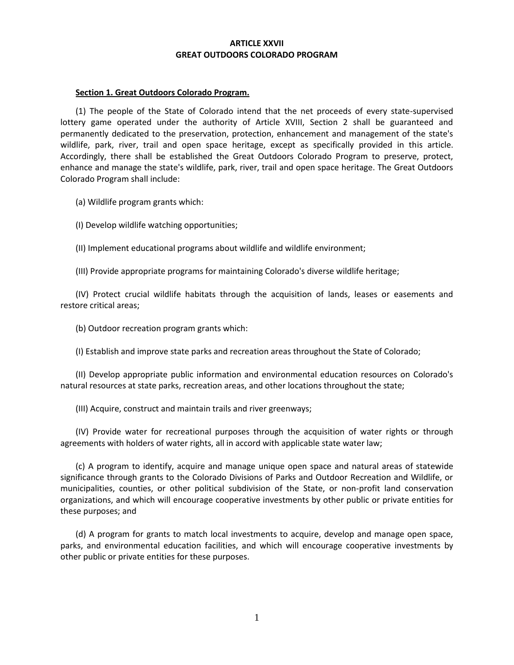## **[ARTICLE XXVII](http://www2.michie.com/colorado/lpext.dll?f=FifLink&t=&l=query&iid=64d16634.48ca8a0b.0.0&q=%5BGroup%20%27coc%20artXXVII%27%5D) [GREAT OUTDOORS COLORADO PROGRAM](http://www2.michie.com/colorado/lpext.dll?f=FifLink&t=&l=query&iid=64d16634.48ca8a0b.0.0&q=%5BGroup%20%27coc%20artXXVII%27%5D)**

### **[Section 1. Great Outdoors Colorado Program.](http://www2.michie.com/colorado/lpext.dll?f=FifLink&t=&l=query&iid=64d16634.48ca8a0b.0.0&q=%5BGroup%20%27coc%20artXXVII-1%27%5D)**

(1) The people of the State of Colorado intend that the net proceeds of every state-supervised lottery game operated under the authority of Article XVIII, Section 2 shall be guaranteed and permanently dedicated to the preservation, protection, enhancement and management of the state's wildlife, park, river, trail and open space heritage, except as specifically provided in this article. Accordingly, there shall be established the Great Outdoors Colorado Program to preserve, protect, enhance and manage the state's wildlife, park, river, trail and open space heritage. The Great Outdoors Colorado Program shall include:

(a) Wildlife program grants which:

(I) Develop wildlife watching opportunities;

(II) Implement educational programs about wildlife and wildlife environment;

(III) Provide appropriate programs for maintaining Colorado's diverse wildlife heritage;

(IV) Protect crucial wildlife habitats through the acquisition of lands, leases or easements and restore critical areas;

(b) Outdoor recreation program grants which:

(I) Establish and improve state parks and recreation areas throughout the State of Colorado;

(II) Develop appropriate public information and environmental education resources on Colorado's natural resources at state parks, recreation areas, and other locations throughout the state;

(III) Acquire, construct and maintain trails and river greenways;

(IV) Provide water for recreational purposes through the acquisition of water rights or through agreements with holders of water rights, all in accord with applicable state water law;

(c) A program to identify, acquire and manage unique open space and natural areas of statewide significance through grants to the Colorado Divisions of Parks and Outdoor Recreation and Wildlife, or municipalities, counties, or other political subdivision of the State, or non-profit land conservation organizations, and which will encourage cooperative investments by other public or private entities for these purposes; and

(d) A program for grants to match local investments to acquire, develop and manage open space, parks, and environmental education facilities, and which will encourage cooperative investments by other public or private entities for these purposes.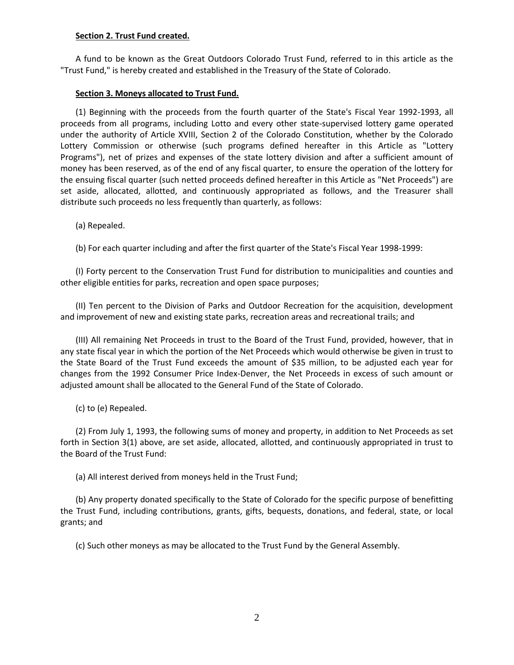# **[Section 2. Trust Fund created.](http://www2.michie.com/colorado/lpext.dll?f=FifLink&t=&l=query&iid=64d16634.48ca8a0b.0.0&q=%5BGroup%20%27coc%20artXXVII-2%27%5D)**

A fund to be known as the Great Outdoors Colorado Trust Fund, referred to in this article as the "Trust Fund," is hereby created and established in the Treasury of the State of Colorado.

# **[Section 3. Moneys allocated to Trust Fund.](http://www2.michie.com/colorado/lpext.dll?f=FifLink&t=&l=query&iid=64d16634.48ca8a0b.0.0&q=%5BGroup%20%27coc%20artXXVII-3%27%5D)**

(1) Beginning with the proceeds from the fourth quarter of the State's Fiscal Year 1992-1993, all proceeds from all programs, including Lotto and every other state-supervised lottery game operated under the authority of Article XVIII, Section 2 of the Colorado Constitution, whether by the Colorado Lottery Commission or otherwise (such programs defined hereafter in this Article as "Lottery Programs"), net of prizes and expenses of the state lottery division and after a sufficient amount of money has been reserved, as of the end of any fiscal quarter, to ensure the operation of the lottery for the ensuing fiscal quarter (such netted proceeds defined hereafter in this Article as "Net Proceeds") are set aside, allocated, allotted, and continuously appropriated as follows, and the Treasurer shall distribute such proceeds no less frequently than quarterly, as follows:

(a) Repealed.

(b) For each quarter including and after the first quarter of the State's Fiscal Year 1998-1999:

(I) Forty percent to the Conservation Trust Fund for distribution to municipalities and counties and other eligible entities for parks, recreation and open space purposes;

(II) Ten percent to the Division of Parks and Outdoor Recreation for the acquisition, development and improvement of new and existing state parks, recreation areas and recreational trails; and

(III) All remaining Net Proceeds in trust to the Board of the Trust Fund, provided, however, that in any state fiscal year in which the portion of the Net Proceeds which would otherwise be given in trust to the State Board of the Trust Fund exceeds the amount of \$35 million, to be adjusted each year for changes from the 1992 Consumer Price Index-Denver, the Net Proceeds in excess of such amount or adjusted amount shall be allocated to the General Fund of the State of Colorado.

(c) to (e) Repealed.

(2) From July 1, 1993, the following sums of money and property, in addition to Net Proceeds as set forth in Section 3(1) above, are set aside, allocated, allotted, and continuously appropriated in trust to the Board of the Trust Fund:

(a) All interest derived from moneys held in the Trust Fund;

(b) Any property donated specifically to the State of Colorado for the specific purpose of benefitting the Trust Fund, including contributions, grants, gifts, bequests, donations, and federal, state, or local grants; and

(c) Such other moneys as may be allocated to the Trust Fund by the General Assembly.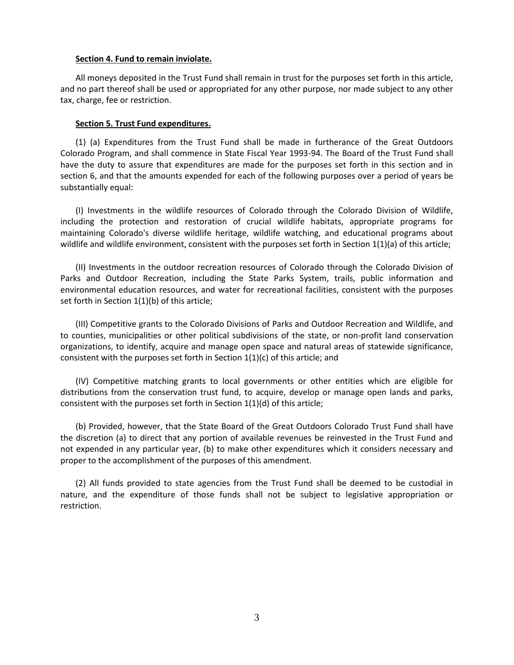#### **[Section 4. Fund to remain inviolate.](http://www2.michie.com/colorado/lpext.dll?f=FifLink&t=&l=query&iid=64d16634.48ca8a0b.0.0&q=%5BGroup%20%27coc%20artXXVII-4%27%5D)**

All moneys deposited in the Trust Fund shall remain in trust for the purposes set forth in this article, and no part thereof shall be used or appropriated for any other purpose, nor made subject to any other tax, charge, fee or restriction.

#### **[Section 5. Trust Fund expenditures.](http://www2.michie.com/colorado/lpext.dll?f=FifLink&t=&l=query&iid=64d16634.48ca8a0b.0.0&q=%5BGroup%20%27coc%20artXXVII-5%27%5D)**

(1) (a) Expenditures from the Trust Fund shall be made in furtherance of the Great Outdoors Colorado Program, and shall commence in State Fiscal Year 1993-94. The Board of the Trust Fund shall have the duty to assure that expenditures are made for the purposes set forth in this section and in section 6, and that the amounts expended for each of the following purposes over a period of years be substantially equal:

(I) Investments in the wildlife resources of Colorado through the Colorado Division of Wildlife, including the protection and restoration of crucial wildlife habitats, appropriate programs for maintaining Colorado's diverse wildlife heritage, wildlife watching, and educational programs about wildlife and wildlife environment, consistent with the purposes set forth in Section 1(1)(a) of this article;

(II) Investments in the outdoor recreation resources of Colorado through the Colorado Division of Parks and Outdoor Recreation, including the State Parks System, trails, public information and environmental education resources, and water for recreational facilities, consistent with the purposes set forth in Section 1(1)(b) of this article;

(III) Competitive grants to the Colorado Divisions of Parks and Outdoor Recreation and Wildlife, and to counties, municipalities or other political subdivisions of the state, or non-profit land conservation organizations, to identify, acquire and manage open space and natural areas of statewide significance, consistent with the purposes set forth in Section 1(1)(c) of this article; and

(IV) Competitive matching grants to local governments or other entities which are eligible for distributions from the conservation trust fund, to acquire, develop or manage open lands and parks, consistent with the purposes set forth in Section 1(1)(d) of this article;

(b) Provided, however, that the State Board of the Great Outdoors Colorado Trust Fund shall have the discretion (a) to direct that any portion of available revenues be reinvested in the Trust Fund and not expended in any particular year, (b) to make other expenditures which it considers necessary and proper to the accomplishment of the purposes of this amendment.

(2) All funds provided to state agencies from the Trust Fund shall be deemed to be custodial in nature, and the expenditure of those funds shall not be subject to legislative appropriation or restriction.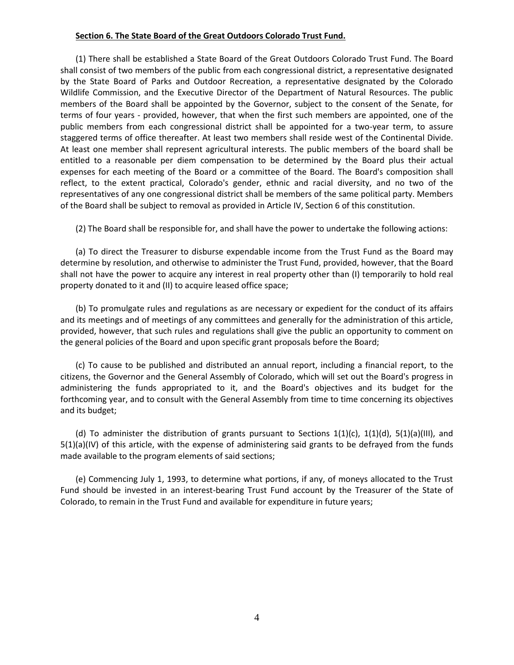### **[Section 6. The State Board of the Great Outdoors Colorado Trust Fund.](http://www2.michie.com/colorado/lpext.dll?f=FifLink&t=&l=query&iid=64d16634.48ca8a0b.0.0&q=%5BGroup%20%27coc%20artXXVII-6%27%5D)**

(1) There shall be established a State Board of the Great Outdoors Colorado Trust Fund. The Board shall consist of two members of the public from each congressional district, a representative designated by the State Board of Parks and Outdoor Recreation, a representative designated by the Colorado Wildlife Commission, and the Executive Director of the Department of Natural Resources. The public members of the Board shall be appointed by the Governor, subject to the consent of the Senate, for terms of four years - provided, however, that when the first such members are appointed, one of the public members from each congressional district shall be appointed for a two-year term, to assure staggered terms of office thereafter. At least two members shall reside west of the Continental Divide. At least one member shall represent agricultural interests. The public members of the board shall be entitled to a reasonable per diem compensation to be determined by the Board plus their actual expenses for each meeting of the Board or a committee of the Board. The Board's composition shall reflect, to the extent practical, Colorado's gender, ethnic and racial diversity, and no two of the representatives of any one congressional district shall be members of the same political party. Members of the Board shall be subject to removal as provided in Article IV, Section 6 of this constitution.

(2) The Board shall be responsible for, and shall have the power to undertake the following actions:

(a) To direct the Treasurer to disburse expendable income from the Trust Fund as the Board may determine by resolution, and otherwise to administer the Trust Fund, provided, however, that the Board shall not have the power to acquire any interest in real property other than (I) temporarily to hold real property donated to it and (II) to acquire leased office space;

(b) To promulgate rules and regulations as are necessary or expedient for the conduct of its affairs and its meetings and of meetings of any committees and generally for the administration of this article, provided, however, that such rules and regulations shall give the public an opportunity to comment on the general policies of the Board and upon specific grant proposals before the Board;

(c) To cause to be published and distributed an annual report, including a financial report, to the citizens, the Governor and the General Assembly of Colorado, which will set out the Board's progress in administering the funds appropriated to it, and the Board's objectives and its budget for the forthcoming year, and to consult with the General Assembly from time to time concerning its objectives and its budget;

(d) To administer the distribution of grants pursuant to Sections  $1(1)(c)$ ,  $1(1)(d)$ ,  $5(1)(a)(III)$ , and 5(1)(a)(IV) of this article, with the expense of administering said grants to be defrayed from the funds made available to the program elements of said sections;

(e) Commencing July 1, 1993, to determine what portions, if any, of moneys allocated to the Trust Fund should be invested in an interest-bearing Trust Fund account by the Treasurer of the State of Colorado, to remain in the Trust Fund and available for expenditure in future years;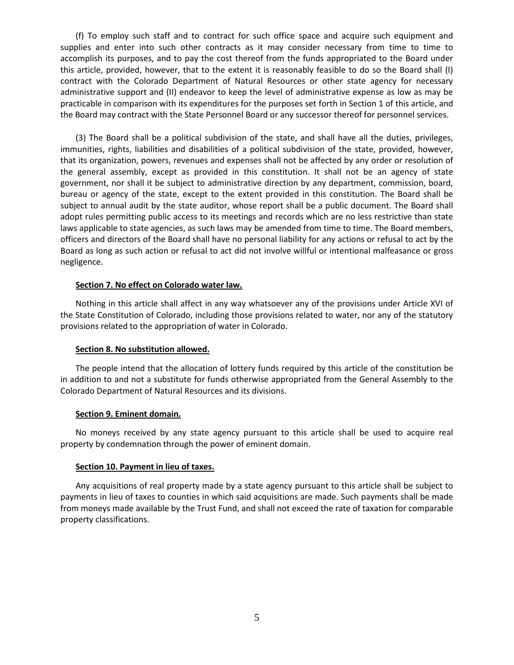(f) To employ such staff and to contract for such office space and acquire such equipment and supplies and enter into such other contracts as it may consider necessary from time to time to accomplish its purposes, and to pay the cost thereof from the funds appropriated to the Board under this article, provided, however, that to the extent it is reasonably feasible to do so the Board shall (I) contract with the Colorado Department of Natural Resources or other state agency for necessary administrative support and (II) endeavor to keep the level of administrative expense as low as may be practicable in comparison with its expenditures for the purposes set forth in Section 1 of this article, and the Board may contract with the State Personnel Board or any successor thereof for personnel services.

(3) The Board shall be a political subdivision of the state, and shall have all the duties, privileges, immunities, rights, liabilities and disabilities of a political subdivision of the state, provided, however, that its organization, powers, revenues and expenses shall not be affected by any order or resolution of the general assembly, except as provided in this constitution. It shall not be an agency of state government, nor shall it be subject to administrative direction by any department, commission, board, bureau or agency of the state, except to the extent provided in this constitution. The Board shall be subject to annual audit by the state auditor, whose report shall be a public document. The Board shall adopt rules permitting public access to its meetings and records which are no less restrictive than state laws applicable to state agencies, as such laws may be amended from time to time. The Board members, officers and directors of the Board shall have no personal liability for any actions or refusal to act by the Board as long as such action or refusal to act did not involve willful or intentional malfeasance or gross negligence.

### **[Section 7. No effect on Colorado water law.](http://www2.michie.com/colorado/lpext.dll?f=FifLink&t=&l=query&iid=64d16634.48ca8a0b.0.0&q=%5BGroup%20%27coc%20artXXVII-7%27%5D)**

Nothing in this article shall affect in any way whatsoever any of the provisions under Article XVI of the State Constitution of Colorado, including those provisions related to water, nor any of the statutory provisions related to the appropriation of water in Colorado.

#### **[Section 8. No substitution allowed.](http://www2.michie.com/colorado/lpext.dll?f=FifLink&t=&l=query&iid=64d16634.48ca8a0b.0.0&q=%5BGroup%20%27coc%20artXXVII-8%27%5D)**

The people intend that the allocation of lottery funds required by this article of the constitution be in addition to and not a substitute for funds otherwise appropriated from the General Assembly to the Colorado Department of Natural Resources and its divisions.

#### **[Section 9. Eminent domain.](http://www2.michie.com/colorado/lpext.dll?f=FifLink&t=&l=query&iid=64d16634.48ca8a0b.0.0&q=%5BGroup%20%27coc%20artXXVII-9%27%5D)**

No moneys received by any state agency pursuant to this article shall be used to acquire real property by condemnation through the power of eminent domain.

### **[Section 10. Payment in lieu of taxes.](http://www2.michie.com/colorado/lpext.dll?f=FifLink&t=&l=query&iid=64d16634.48ca8a0b.0.0&q=%5BGroup%20%27coc%20artXXVII-10%27%5D)**

Any acquisitions of real property made by a state agency pursuant to this article shall be subject to payments in lieu of taxes to counties in which said acquisitions are made. Such payments shall be made from moneys made available by the Trust Fund, and shall not exceed the rate of taxation for comparable property classifications.